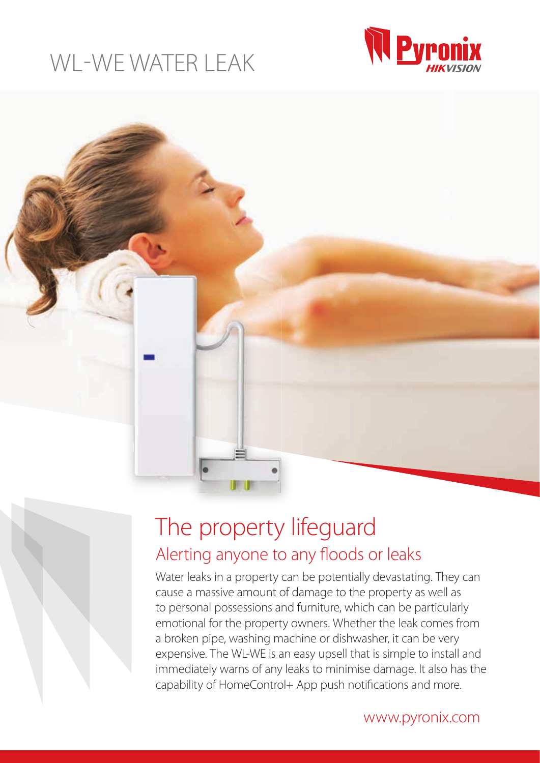# WL-WE WATER LEAK





# The property lifeguard Alerting anyone to any floods or leaks

Water leaks in a property can be potentially devastating. They can cause a massive amount of damage to the property as well as to personal possessions and furniture, which can be particularly emotional for the property owners. Whether the leak comes from a broken pipe, washing machine or dishwasher, it can be very expensive. The WL-WE is an easy upsell that is simple to install and immediately warns of any leaks to minimise damage. It also has the capability of HomeControl+ App push notifications and more.